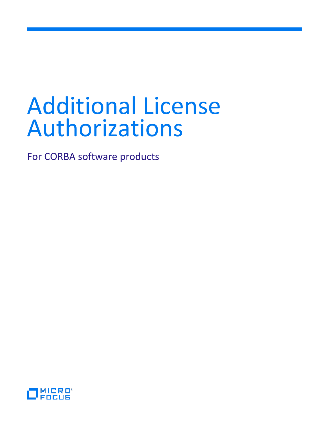# Additional License Authorizations

For CORBA software products

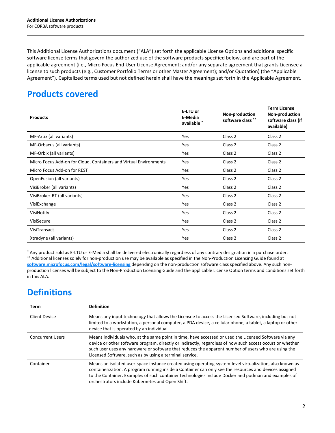This Additional License Authorizations document ("ALA") set forth the applicable License Options and additional specific software license terms that govern the authorized use of the software products specified below, and are part of the applicable agreement (i.e., Micro Focus End User License Agreement; and/or any separate agreement that grants Licensee a license to such products (e.g., Customer Portfolio Terms or other Master Agreement); and/or Quotation) (the "Applicable Agreement"). Capitalized terms used but not defined herein shall have the meanings set forth in the Applicable Agreement.

# **Products covered**

| <b>Products</b>                                                   | E-LTU or<br>E-Media<br>available * | Non-production<br>software class ** | <b>Term License</b><br>Non-production<br>software class (if<br>available) |
|-------------------------------------------------------------------|------------------------------------|-------------------------------------|---------------------------------------------------------------------------|
| MF-Artix (all variants)                                           | Yes                                | Class 2                             | Class 2                                                                   |
| MF-Orbacus (all variants)                                         | Yes                                | Class 2                             | Class 2                                                                   |
| MF-Orbix (all variants)                                           | Yes                                | Class 2                             | Class 2                                                                   |
| Micro Focus Add-on for Cloud, Containers and Virtual Environments | Yes                                | Class 2                             | Class 2                                                                   |
| Micro Focus Add-on for REST                                       | Yes                                | Class 2                             | Class 2                                                                   |
| OpenFusion (all variants)                                         | <b>Yes</b>                         | Class 2                             | Class 2                                                                   |
| VisiBroker (all variants)                                         | Yes                                | Class 2                             | Class 2                                                                   |
| VisiBroker-RT (all variants)                                      | Yes                                | Class 2                             | Class 2                                                                   |
| VisiExchange                                                      | Yes                                | Class 2                             | Class 2                                                                   |
| VisiNotify                                                        | Yes                                | Class 2                             | Class 2                                                                   |
| VisiSecure                                                        | Yes                                | Class 2                             | Class 2                                                                   |
| VisiTransact                                                      | Yes                                | Class 2                             | Class 2                                                                   |
| Xtradyne (all variants)                                           | Yes                                | Class 2                             | Class 2                                                                   |

\* Any product sold as E-LTU or E-Media shall be delivered electronically regardless of any contrary designation in a purchase order. \*\* Additional licenses solely for non-production use may be available as specified in the Non-Production Licensing Guide found at **[software.microfocus.com/legal/software-licensing](http://software.microfocus.com/legal/software-licensing)** depending on the non-production software class specified above. Any such nonproduction licenses will be subject to the Non-Production Licensing Guide and the applicable License Option terms and conditions set forth in this ALA.

# **Definitions**

| Term                    | <b>Definition</b>                                                                                                                                                                                                                                                                                                                                                                    |
|-------------------------|--------------------------------------------------------------------------------------------------------------------------------------------------------------------------------------------------------------------------------------------------------------------------------------------------------------------------------------------------------------------------------------|
| Client Device           | Means any input technology that allows the Licensee to access the Licensed Software, including but not<br>limited to a workstation, a personal computer, a PDA device, a cellular phone, a tablet, a laptop or other<br>device that is operated by an individual.                                                                                                                    |
| <b>Concurrent Users</b> | Means individuals who, at the same point in time, have accessed or used the Licensed Software via any<br>device or other software program, directly or indirectly, regardless of how such access occurs or whether<br>such user uses any hardware or software that reduces the apparent number of users who are using the<br>Licensed Software, such as by using a terminal service. |
| Container               | Means an isolated user-space instance created using operating-system-level virtualization, also known as<br>containerization. A program running inside a Container can only see the resources and devices assigned<br>to the Container. Examples of such container technologies include Docker and podman and examples of<br>orchestrators include Kubernetes and Open Shift.        |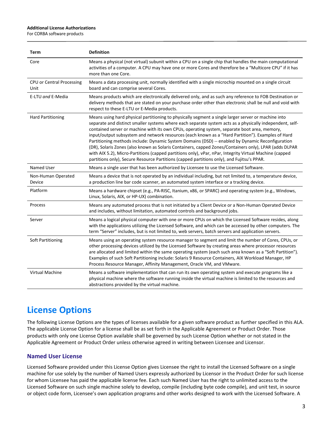#### **Additional License Authorizations**

For CORBA software products

| Term                              | <b>Definition</b>                                                                                                                                                                                                                                                                                                                                                                                                                                                                                                                                                                                                                                                                                                                                                                                                                           |
|-----------------------------------|---------------------------------------------------------------------------------------------------------------------------------------------------------------------------------------------------------------------------------------------------------------------------------------------------------------------------------------------------------------------------------------------------------------------------------------------------------------------------------------------------------------------------------------------------------------------------------------------------------------------------------------------------------------------------------------------------------------------------------------------------------------------------------------------------------------------------------------------|
| Core                              | Means a physical (not virtual) subunit within a CPU on a single chip that handles the main computational<br>activities of a computer. A CPU may have one or more Cores and therefore be a "Multicore CPU" if it has<br>more than one Core.                                                                                                                                                                                                                                                                                                                                                                                                                                                                                                                                                                                                  |
| CPU or Central Processing<br>Unit | Means a data processing unit, normally identified with a single microchip mounted on a single circuit<br>board and can comprise several Cores.                                                                                                                                                                                                                                                                                                                                                                                                                                                                                                                                                                                                                                                                                              |
| E-LTU and E-Media                 | Means products which are electronically delivered only, and as such any reference to FOB Destination or<br>delivery methods that are stated on your purchase order other than electronic shall be null and void with<br>respect to these E-LTU or E-Media products.                                                                                                                                                                                                                                                                                                                                                                                                                                                                                                                                                                         |
| <b>Hard Partitioning</b>          | Means using hard physical partitioning to physically segment a single larger server or machine into<br>separate and distinct smaller systems where each separate system acts as a physically independent, self-<br>contained server or machine with its own CPUs, operating system, separate boot area, memory,<br>input/output subsystem and network resources (each known as a "Hard Partition"). Examples of Hard<br>Partitioning methods include: Dynamic System Domains (DSD) -- enabled by Dynamic Reconfiguration<br>(DR), Solaris Zones (also known as Solaris Containers, capped Zones/Containers only), LPAR (adds DLPAR<br>with AIX 5.2), Micro-Partitions (capped partitions only), vPar, nPar, Integrity Virtual Machine (capped<br>partitions only), Secure Resource Partitions (capped partitions only), and Fujitsu's PPAR. |
| Named User                        | Means a single user that has been authorized by Licensee to use the Licensed Software.                                                                                                                                                                                                                                                                                                                                                                                                                                                                                                                                                                                                                                                                                                                                                      |
| Non-Human Operated<br>Device      | Means a device that is not operated by an individual including, but not limited to, a temperature device,<br>a production line bar code scanner, an automated system interface or a tracking device.                                                                                                                                                                                                                                                                                                                                                                                                                                                                                                                                                                                                                                        |
| Platform                          | Means a hardware chipset (e.g., PA-RISC, Itanium, x86, or SPARC) and operating system (e.g., Windows,<br>Linux, Solaris, AIX, or HP-UX) combination.                                                                                                                                                                                                                                                                                                                                                                                                                                                                                                                                                                                                                                                                                        |
| Process                           | Means any automated process that is not initiated by a Client Device or a Non-Human Operated Device<br>and includes, without limitation, automated controls and background jobs.                                                                                                                                                                                                                                                                                                                                                                                                                                                                                                                                                                                                                                                            |
| Server                            | Means a logical physical computer with one or more CPUs on which the Licensed Software resides, along<br>with the applications utilizing the Licensed Software, and which can be accessed by other computers. The<br>term "Server" includes, but is not limited to, web servers, batch servers and application servers.                                                                                                                                                                                                                                                                                                                                                                                                                                                                                                                     |
| Soft Partitioning                 | Means using an operating system resource manager to segment and limit the number of Cores, CPUs, or<br>other processing devices utilized by the Licensed Software by creating areas where processor resources<br>are allocated and limited within the same operating system (each such area known as a "Soft Partition").<br>Examples of such Soft Partitioning include: Solaris 9 Resource Containers, AIX Workload Manager, HP<br>Process Resource Manager, Affinity Management, Oracle VM, and VMware.                                                                                                                                                                                                                                                                                                                                   |
| <b>Virtual Machine</b>            | Means a software implementation that can run its own operating system and execute programs like a<br>physical machine where the software running inside the virtual machine is limited to the resources and<br>abstractions provided by the virtual machine.                                                                                                                                                                                                                                                                                                                                                                                                                                                                                                                                                                                |

# **License Options**

The following License Options are the types of licenses available for a given software product as further specified in this ALA. The applicable License Option for a license shall be as set forth in the Applicable Agreement or Product Order. Those products with only one License Option available shall be governed by such License Option whether or not stated in the Applicable Agreement or Product Order unless otherwise agreed in writing between Licensee and Licensor.

# **Named User License**

Licensed Software provided under this License Option gives Licensee the right to install the Licensed Software on a single machine for use solely by the number of Named Users expressly authorized by Licensor in the Product Order for such license for whom Licensee has paid the applicable license fee. Each such Named User has the right to unlimited access to the Licensed Software on such single machine solely to develop, compile (including byte code compile), and unit test, in source or object code form, Licensee's own application programs and other works designed to work with the Licensed Software. A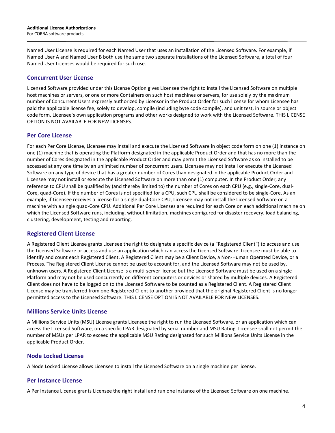Named User License is required for each Named User that uses an installation of the Licensed Software. For example, if Named User A and Named User B both use the same two separate installations of the Licensed Software, a total of four Named User Licenses would be required for such use.

## **Concurrent User License**

Licensed Software provided under this License Option gives Licensee the right to install the Licensed Software on multiple host machines or servers, or one or more Containers on such host machines or servers, for use solely by the maximum number of Concurrent Users expressly authorized by Licensor in the Product Order for such license for whom Licensee has paid the applicable license fee, solely to develop, compile (including byte code compile), and unit test, in source or object code form, Licensee's own application programs and other works designed to work with the Licensed Software. THIS LICENSE OPTION IS NOT AVAILABLE FOR NEW LICENSES.

## **Per Core License**

For each Per Core License, Licensee may install and execute the Licensed Software in object code form on one (1) instance on one (1) machine that is operating the Platform designated in the applicable Product Order and that has no more than the number of Cores designated in the applicable Product Order and may permit the Licensed Software as so installed to be accessed at any one time by an unlimited number of concurrent users. Licensee may not install or execute the Licensed Software on any type of device that has a greater number of Cores than designated in the applicable Product Order and Licensee may not install or execute the Licensed Software on more than one (1) computer. In the Product Order, any reference to CPU shall be qualified by (and thereby limited to) the number of Cores on each CPU (e.g., single-Core, dual-Core, quad-Core). If the number of Cores is not specified for a CPU, such CPU shall be considered to be single-Core. As an example, if Licensee receives a license for a single dual-Core CPU, Licensee may not install the Licensed Software on a machine with a single quad-Core CPU. Additional Per Core Licenses are required for each Core on each additional machine on which the Licensed Software runs, including, without limitation, machines configured for disaster recovery, load balancing, clustering, development, testing and reporting.

## **Registered Client License**

A Registered Client License grants Licensee the right to designate a specific device (a "Registered Client") to access and use the Licensed Software or access and use an application which can access the Licensed Software. Licensee must be able to identify and count each Registered Client. A Registered Client may be a Client Device, a Non-Human Operated Device, or a Process. The Registered Client License cannot be used to account for, and the Licensed Software may not be used by, unknown users. A Registered Client License is a multi-server license but the Licensed Software must be used on a single Platform and may not be used concurrently on different computers or devices or shared by multiple devices. A Registered Client does not have to be logged on to the Licensed Software to be counted as a Registered Client. A Registered Client License may be transferred from one Registered Client to another provided that the original Registered Client is no longer permitted access to the Licensed Software. THIS LICENSE OPTION IS NOT AVAILABLE FOR NEW LICENSES.

## **Millions Service Units License**

A Millions Service Units (MSU) License grants Licensee the right to run the Licensed Software, or an application which can access the Licensed Software, on a specific LPAR designated by serial number and MSU Rating. Licensee shall not permit the number of MSUs per LPAR to exceed the applicable MSU Rating designated for such Millions Service Units License in the applicable Product Order.

## **Node Locked License**

A Node Locked License allows Licensee to install the Licensed Software on a single machine per license.

## **Per Instance License**

A Per Instance License grants Licensee the right install and run one instance of the Licensed Software on one machine.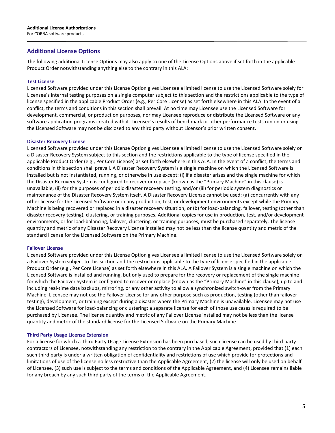#### **Additional License Options**

The following additional License Options may also apply to one of the License Options above if set forth in the applicable Product Order notwithstanding anything else to the contrary in this ALA:

#### **Test License**

Licensed Software provided under this License Option gives Licensee a limited license to use the Licensed Software solely for Licensee's internal testing purposes on a single computer subject to this section and the restrictions applicable to the type of license specified in the applicable Product Order (e.g., Per Core License) as set forth elsewhere in this ALA. In the event of a conflict, the terms and conditions in this section shall prevail. At no time may Licensee use the Licensed Software for development, commercial, or production purposes, nor may Licensee reproduce or distribute the Licensed Software or any software application programs created with it. Licensee's results of benchmark or other performance tests run on or using the Licensed Software may not be disclosed to any third party without Licensor's prior written consent.

#### **Disaster Recovery License**

Licensed Software provided under this License Option gives Licensee a limited license to use the Licensed Software solely on a Disaster Recovery System subject to this section and the restrictions applicable to the type of license specified in the applicable Product Order (e.g., Per Core License) as set forth elsewhere in this ALA. In the event of a conflict, the terms and conditions in this section shall prevail. A Disaster Recovery System is a single machine on which the Licensed Software is installed but is not instantiated, running, or otherwise in use except: (i) if a disaster arises and the single machine for which the Disaster Recovery System is configured to recover or replace (known as the "Primary Machine" in this clause) is unavailable, (ii) for the purposes of periodic disaster recovery testing, and/or (iii) for periodic system diagnostics or maintenance of the Disaster Recovery System itself. A Disaster Recovery License cannot be used: (a) concurrently with any other license for the Licensed Software or in any production, test, or development environments except while the Primary Machine is being recovered or replaced in a disaster recovery situation, or (b) for load-balancing, failover, testing (other than disaster recovery testing), clustering, or training purposes. Additional copies for use in production, test, and/or development environments, or for load-balancing, failover, clustering, or training purposes, must be purchased separately. The license quantity and metric of any Disaster Recovery License installed may not be less than the license quantity and metric of the standard license for the Licensed Software on the Primary Machine.

#### **Failover License**

Licensed Software provided under this License Option gives Licensee a limited license to use the Licensed Software solely on a Failover System subject to this section and the restrictions applicable to the type of license specified in the applicable Product Order (e.g., Per Core License) as set forth elsewhere in this ALA. A Failover System is a single machine on which the Licensed Software is installed and running, but only used to prepare for the recovery or replacement of the single machine for which the Failover System is configured to recover or replace (known as the "Primary Machine" in this clause), up to and including real-time data backups, mirroring, or any other activity to allow a synchronized switch-over from the Primary Machine. Licensee may not use the Failover License for any other purpose such as production, testing (other than failover testing), development, or training except during a disaster where the Primary Machine is unavailable. Licensee may not use the Licensed Software for load-balancing or clustering; a separate license for each of those use cases is required to be purchased by Licensee. The license quantity and metric of any Failover License installed may not be less than the license quantity and metric of the standard license for the Licensed Software on the Primary Machine.

#### **Third Party Usage License Extension**

For a license for which a Third Party Usage License Extension has been purchased, such license can be used by third party contractors of Licensee, notwithstanding any restriction to the contrary in the Applicable Agreement, provided that (1) each such third party is under a written obligation of confidentiality and restrictions of use which provide for protections and limitations of use of the license no less restrictive than the Applicable Agreement, (2) the license will only be used on behalf of Licensee, (3) such use is subject to the terms and conditions of the Applicable Agreement, and (4) Licensee remains liable for any breach by any such third party of the terms of the Applicable Agreement.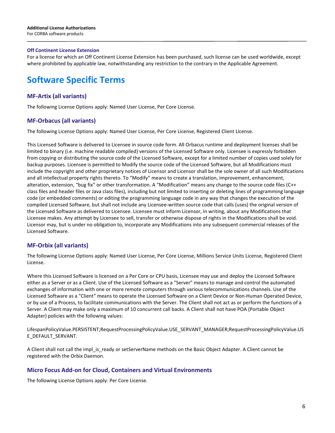#### **Off Continent License Extension**

For a license for which an Off Continent License Extension has been purchased, such license can be used worldwide, except where prohibited by applicable law, notwithstanding any restriction to the contrary in the Applicable Agreement.

# **Software Specific Terms**

## **MF-Artix (all variants)**

The following License Options apply: Named User License, Per Core License.

#### **MF-Orbacus (all variants)**

The following License Options apply: Named User License, Per Core License, Registered Client License.

This Licensed Software is delivered to Licensee in source code form. All Orbacus runtime and deployment licenses shall be limited to binary (i.e. machine readable compiled) versions of the Licensed Software only. Licensee is expressly forbidden from copying or distributing the source code of the Licensed Software, except for a limited number of copies used solely for backup purposes. Licensee is permitted to Modify the source code of the Licensed Software, but all Modifications must include the copyright and other proprietary notices of Licensor and Licensor shall be the sole owner of all such Modifications and all intellectual property rights thereto. To "Modify" means to create a translation, improvement, enhancement, alteration, extension, "bug fix" or other transformation. A "Modification" means any change to the source code files (C++ class files and header files or Java class files), including but not limited to inserting or deleting lines of programming language code (or embedded comments) or editing the programming language code in any way that changes the execution of the compiled Licensed Software, but shall not include any Licensee-written source code that calls (uses) the original version of the Licensed Software as delivered to Licensee. Licensee must inform Licensor, in writing, about any Modifications that Licensee makes. Any attempt by Licensee to sell, transfer or otherwise dispose of rights in the Modifications shall be void. Licensor may, but is under no obligation to, incorporate any Modifications into any subsequent commercial releases of the Licensed Software.

## **MF-Orbix (all variants)**

The following License Options apply: Named User License, Per Core License, Millions Service Units License, Registered Client License.

Where this Licensed Software is licensed on a Per Core or CPU basis, Licensee may use and deploy the Licensed Software either as a Server or as a Client. Use of the Licensed Software as a "Server" means to manage and control the automated exchanges of information with one or more remote computers through various telecommunications channels. Use of the Licensed Software as a "Client" means to operate the Licensed Software on a Client Device or Non-Human Operated Device, or by use of a Process, to facilitate communications with the Server. The Client shall not act as or perform the functions of a Server. A Client may make only a maximum of 10 concurrent call backs. A Client shall not have POA (Portable Object Adapter) policies with the following values:

LifespanPolicyValue.PERSISTENT;RequestProcessingPolicyValue.USE\_SERVANT\_MANAGER;RequestProcessingPolicyValue.US E\_DEFAULT\_SERVANT.

A Client shall not call the impl is ready or setServerName methods on the Basic Object Adapter. A Client cannot be registered with the Orbix Daemon.

#### **Micro Focus Add-on for Cloud, Containers and Virtual Environments**

The following License Options apply: Per Core License.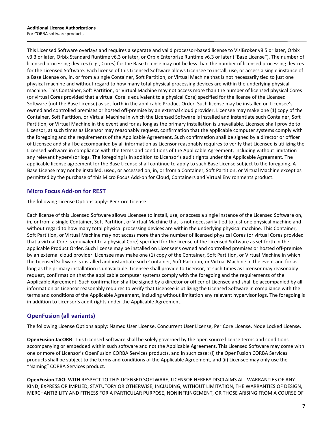This Licensed Software overlays and requires a separate and valid processor-based license to VisiBroker v8.5 or later, Orbix v3.3 or later, Orbix Standard Runtime v6.3 or later, or Orbix Enterprise Runtime v6.3 or later ("Base License"). The number of licensed processing devices (e.g., Cores) for the Base License may not be less than the number of licensed processing devices for the Licensed Software. Each license of this Licensed Software allows Licensee to install, use, or access a single instance of a Base License on, in, or from a single Container, Soft Partition, or Virtual Machine that is not necessarily tied to just one physical machine and without regard to how many total physical processing devices are within the underlying physical machine. This Container, Soft Partition, or Virtual Machine may not access more than the number of licensed physical Cores (or virtual Cores provided that a virtual Core is equivalent to a physical Core) specified for the license of the Licensed Software (not the Base License) as set forth in the applicable Product Order. Such license may be installed on Licensee's owned and controlled premises or hosted off-premise by an external cloud provider. Licensee may make one (1) copy of the Container, Soft Partition, or Virtual Machine in which the Licensed Software is installed and instantiate such Container, Soft Partition, or Virtual Machine in the event and for as long as the primary installation is unavailable. Licensee shall provide to Licensor, at such times as Licensor may reasonably request, confirmation that the applicable computer systems comply with the foregoing and the requirements of the Applicable Agreement. Such confirmation shall be signed by a director or officer of Licensee and shall be accompanied by all information as Licensor reasonably requires to verify that Licensee is utilizing the Licensed Software in compliance with the terms and conditions of the Applicable Agreement, including without limitation any relevant hypervisor logs. The foregoing is in addition to Licensor's audit rights under the Applicable Agreement. The applicable license agreement for the Base License shall continue to apply to such Base License subject to the foregoing. A Base License may not be installed, used, or accessed on, in, or from a Container, Soft Partition, or Virtual Machine except as permitted by the purchase of this Micro Focus Add-on for Cloud, Containers and Virtual Environments product.

## **Micro Focus Add-on for REST**

The following License Options apply: Per Core License.

Each license of this Licensed Software allows Licensee to install, use, or access a single instance of the Licensed Software on, in, or from a single Container, Soft Partition, or Virtual Machine that is not necessarily tied to just one physical machine and without regard to how many total physical processing devices are within the underlying physical machine. This Container, Soft Partition, or Virtual Machine may not access more than the number of licensed physical Cores (or virtual Cores provided that a virtual Core is equivalent to a physical Core) specified for the license of the Licensed Software as set forth in the applicable Product Order. Such license may be installed on Licensee's owned and controlled premises or hosted off-premise by an external cloud provider. Licensee may make one (1) copy of the Container, Soft Partition, or Virtual Machine in which the Licensed Software is installed and instantiate such Container, Soft Partition, or Virtual Machine in the event and for as long as the primary installation is unavailable. Licensee shall provide to Licensor, at such times as Licensor may reasonably request, confirmation that the applicable computer systems comply with the foregoing and the requirements of the Applicable Agreement. Such confirmation shall be signed by a director or officer of Licensee and shall be accompanied by all information as Licensor reasonably requires to verify that Licensee is utilizing the Licensed Software in compliance with the terms and conditions of the Applicable Agreement, including without limitation any relevant hypervisor logs. The foregoing is in addition to Licensor's audit rights under the Applicable Agreement.

# **OpenFusion (all variants)**

The following License Options apply: Named User License, Concurrent User License, Per Core License, Node Locked License.

**OpenFusion JacORB**: This Licensed Software shall be solely governed by the open source license terms and conditions accompanying or embedded within such software and not the Applicable Agreement. This Licensed Software may come with one or more of Licensor's OpenFusion CORBA Services products, and in such case: (i) the OpenFusion CORBA Services products shall be subject to the terms and conditions of the Applicable Agreement, and (ii) Licensee may only use the "Naming" CORBA Services product.

**OpenFusion TAO**: WITH RESPECT TO THIS LICENSED SOFTWARE, LICENSOR HEREBY DISCLAIMS ALL WARRANTIES OF ANY KIND, EXPRESS OR IMPLIED, STATUTORY OR OTHERWISE, INCLUDING, WITHOUT LIMITATION, THE WARRANTIES OF DESIGN, MERCHANTIBILITY AND FITNESS FOR A PARTICULAR PURPOSE, NONINFRINGEMENT, OR THOSE ARISING FROM A COURSE OF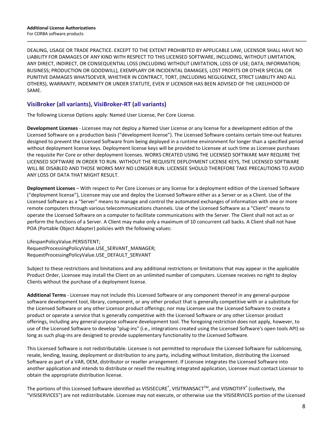DEALING, USAGE OR TRADE PRACTICE. EXCEPT TO THE EXTENT PROHIBITED BY APPLICABLE LAW, LICENSOR SHALL HAVE NO LIABILITY FOR DAMAGES OF ANY KIND WITH RESPECT TO THIS LICENSED SOFTWARE, INCLUDING, WITHOUT LIMITATION, ANY DIRECT, INDIRECT, OR CONSEQUENTIAL LOSS (INCLUDING WITHOUT LIMITATION, LOSS OF USE; DATA; INFORMATION; BUSINESS; PRODUCTION OR GOODWILL), EXEMPLARY OR INCIDENTAL DAMAGES, LOST PROFITS OR OTHER SPECIAL OR PUNITIVE DAMAGES WHATSOEVER, WHETHER IN CONTRACT, TORT, (INCLUDING NEGLIGENCE, STRICT LIABILITY AND ALL OTHERS), WARRANTY, INDEMNITY OR UNDER STATUTE, EVEN IF LICENSOR HAS BEEN ADVISED OF THE LIKELIHOOD OF SAME.

## **VisiBroker (all variants), VisiBroker-RT (all variants)**

The following License Options apply: Named User License, Per Core License.

**Development Licenses** - Licensee may not deploy a Named User License or any license for a development edition of the Licensed Software on a production basis ("development license"). The Licensed Software contains certain time-out features designed to prevent the Licensed Software from being deployed in a runtime environment for longer than a specified period without deployment license keys. Deployment license keys will be provided to Licensee at such time as Licensee purchases the requisite Per Core or other deployment licenses. WORKS CREATED USING THE LICENSED SOFTWARE MAY REQUIRE THE LICENSED SOFTWARE IN ORDER TO RUN. WITHOUT THE REQUISITE DEPLOYMENT LICENSE KEYS, THE LICENSED SOFTWARE WILL BE DISABLED AND THOSE WORKS MAY NO LONGER RUN. LICENSEE SHOULD THEREFORE TAKE PRECAUTIONS TO AVOID ANY LOSS OF DATA THAT MIGHT RESULT.

**Deployment Licenses** – With respect to Per Core Licenses or any license for a deployment edition of the Licensed Software ("deployment license"), Licensee may use and deploy the Licensed Software either as a Server or as a Client. Use of the Licensed Software as a "Server" means to manage and control the automated exchanges of information with one or more remote computers through various telecommunications channels. Use of the Licensed Software as a "Client" means to operate the Licensed Software on a computer to facilitate communications with the Server. The Client shall not act as or perform the functions of a Server. A Client may make only a maximum of 10 concurrent call backs. A Client shall not have POA (Portable Object Adapter) policies with the following values:

LifespanPolicyValue.PERSISTENT; RequestProcessingPolicyValue.USE\_SERVANT\_MANAGER; RequestProcessingPolicyValue.USE\_DEFAULT\_SERVANT

Subject to these restrictions and limitations and any additional restrictions or limitations that may appear in the applicable Product Order, Licensee may install the Client on an unlimited number of computers. Licensee receives no right to deploy Clients without the purchase of a deployment license.

**Additional Terms** - Licensee may not include this Licensed Software or any component thereof in any general-purpose software development tool, library, component, or any other product that is generally competitive with or a substitute for the Licensed Software or any other Licensor product offerings; nor may Licensee use the Licensed Software to create a product or operate a service that is generally competitive with the Licensed Software or any other Licensor product offerings, including any general-purpose software development tool. The foregoing restriction does not apply, however, to use of the Licensed Software to develop "plug-ins" (i.e., integrations created using the Licensed Software's open tools API) so long as such plug-ins are designed to provide supplementary functionality to the Licensed Software.

This Licensed Software is not redistributable. Licensee is not permitted to reproduce the Licensed Software for sublicensing, resale, lending, leasing, deployment or distribution to any party, including without limitation, distributing the Licensed Software as part of a VAR, OEM, distributor or reseller arrangement. If Licensee integrates the Licensed Software into another application and intends to distribute or resell the resulting integrated application, Licensee must contact Licensor to obtain the appropriate distribution license.

The portions of this Licensed Software identified as VISISECURE®, VISITRANSACT™, and VISINOTIFY® (collectively, the "VISISERVICES") are not redistributable. Licensee may not execute, or otherwise use the VISISERVICES portion of the Licensed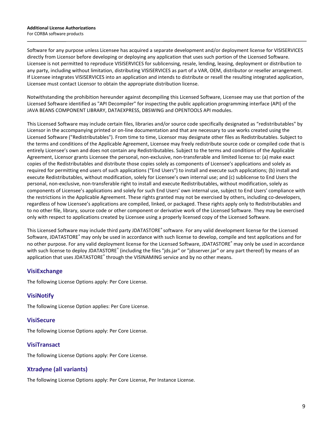Software for any purpose unless Licensee has acquired a separate development and/or deployment license for VISISERVICES directly from Licensor before developing or deploying any application that uses such portion of the Licensed Software. Licensee is not permitted to reproduce VISISERVICES for sublicensing, resale, lending, leasing, deployment or distribution to any party, including without limitation, distributing VISISERVICES as part of a VAR, OEM, distributor or reseller arrangement. If Licensee integrates VISISERVICES into an application and intends to distribute or resell the resulting integrated application, Licensee must contact Licensor to obtain the appropriate distribution license.

Notwithstanding the prohibition hereunder against decompiling this Licensed Software, Licensee may use that portion of the Licensed Software identified as "API Decompiler" for inspecting the public application programming interface (API) of the JAVA BEANS COMPONENT LIBRARY, DATAEXPRESS, DBSWING and OPENTOOLS API modules.

This Licensed Software may include certain files, libraries and/or source code specifically designated as "redistributables" by Licensor in the accompanying printed or on-line documentation and that are necessary to use works created using the Licensed Software ("Redistributables"). From time to time, Licensor may designate other files as Redistributables. Subject to the terms and conditions of the Applicable Agreement, Licensee may freely redistribute source code or compiled code that is entirely Licensee's own and does not contain any Redistributables. Subject to the terms and conditions of the Applicable Agreement, Licensor grants Licensee the personal, non-exclusive, non-transferable and limited license to: (a) make exact copies of the Redistributables and distribute those copies solely as components of Licensee's applications and solely as required for permitting end users of such applications ("End Users") to install and execute such applications; (b) install and execute Redistributables, without modification, solely for Licensee's own internal use; and (c) sublicense to End Users the personal, non-exclusive, non-transferable right to install and execute Redistributables, without modification, solely as components of Licensee's applications and solely for such End Users' own internal use, subject to End Users' compliance with the restrictions in the Applicable Agreement. These rights granted may not be exercised by others, including co-developers, regardless of how Licensee's applications are compiled, linked, or packaged. These rights apply only to Redistributables and to no other file, library, source code or other component or derivative work of the Licensed Software. They may be exercised only with respect to applications created by Licensee using a properly licensed copy of the Licensed Software.

This Licensed Software may include third party JDATASTORE® software. For any valid development license for the Licensed Software, JDATASTORE® may only be used in accordance with such license to develop, compile and test applications and for no other purpose. For any valid deployment license for the Licensed Software, JDATASTORE® may only be used in accordance with such license to deploy JDATASTORE<sup>®</sup> (including the files "jds.jar" or "jdsserver.jar" or any part thereof) by means of an application that uses JDATASTORE® through the VISINAMING service and by no other means.

## **VisiExchange**

The following License Options apply: Per Core License.

#### **VisiNotify**

The following License Option applies: Per Core License.

#### **VisiSecure**

The following License Options apply: Per Core License.

#### **VisiTransact**

The following License Options apply: Per Core License.

#### **Xtradyne (all variants)**

The following License Options apply: Per Core License, Per Instance License.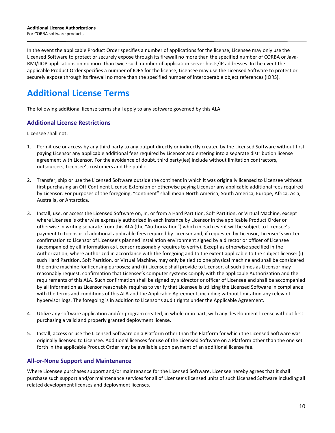In the event the applicable Product Order specifies a number of applications for the license, Licensee may only use the Licensed Software to protect or securely expose through its firewall no more than the specified number of CORBA or Java-RMI/IIOP applications on no more than twice such number of application server hosts/IP addresses. In the event the applicable Product Order specifies a number of IORS for the license, Licensee may use the Licensed Software to protect or securely expose through its firewall no more than the specified number of interoperable object references (IORS).

# **Additional License Terms**

The following additional license terms shall apply to any software governed by this ALA:

## **Additional License Restrictions**

Licensee shall not:

- 1. Permit use or access by any third party to any output directly or indirectly created by the Licensed Software without first paying Licensor any applicable additional fees required by Licensor and entering into a separate distribution license agreement with Licensor. For the avoidance of doubt, third party(ies) include without limitation contractors, outsourcers, Licensee's customers and the public.
- 2. Transfer, ship or use the Licensed Software outside the continent in which it was originally licensed to Licensee without first purchasing an Off-Continent License Extension or otherwise paying Licensor any applicable additional fees required by Licensor. For purposes of the foregoing, "continent" shall mean North America, South America, Europe, Africa, Asia, Australia, or Antarctica.
- 3. Install, use, or access the Licensed Software on, in, or from a Hard Partition, Soft Partition, or Virtual Machine, except where Licensee is otherwise expressly authorized in each instance by Licensor in the applicable Product Order or otherwise in writing separate from this ALA (the "Authorization") which in each event will be subject to Licensee's payment to Licensor of additional applicable fees required by Licensor and, if requested by Licensor, Licensee's written confirmation to Licensor of Licensee's planned installation environment signed by a director or officer of Licensee (accompanied by all information as Licensor reasonably requires to verify). Except as otherwise specified in the Authorization, where authorized in accordance with the foregoing and to the extent applicable to the subject license: (i) such Hard Partition, Soft Partition, or Virtual Machine, may only be tied to one physical machine and shall be considered the entire machine for licensing purposes; and (ii) Licensee shall provide to Licensor, at such times as Licensor may reasonably request, confirmation that Licensee's computer systems comply with the applicable Authorization and the requirements of this ALA. Such confirmation shall be signed by a director or officer of Licensee and shall be accompanied by all information as Licensor reasonably requires to verify that Licensee is utilizing the Licensed Software in compliance with the terms and conditions of this ALA and the Applicable Agreement, including without limitation any relevant hypervisor logs. The foregoing is in addition to Licensor's audit rights under the Applicable Agreement.
- 4. Utilize any software application and/or program created, in whole or in part, with any development license without first purchasing a valid and properly granted deployment license.
- 5. Install, access or use the Licensed Software on a Platform other than the Platform for which the Licensed Software was originally licensed to Licensee. Additional licenses for use of the Licensed Software on a Platform other than the one set forth in the applicable Product Order may be available upon payment of an additional license fee.

## **All-or-None Support and Maintenance**

Where Licensee purchases support and/or maintenance for the Licensed Software, Licensee hereby agrees that it shall purchase such support and/or maintenance services for all of Licensee's licensed units of such Licensed Software including all related development licenses and deployment licenses.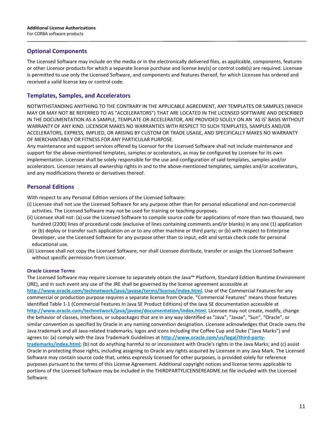#### **Optional Components**

The Licensed Software may include on the media or in the electronically delivered files, as applicable, components, features or other Licensor products for which a separate license purchase and license key(s) or control code(s) are required. Licensee is permitted to use only the Licensed Software, and components and features thereof, for which Licensee has ordered and received a valid license key or control code.

#### **Templates, Samples, and Accelerators**

NOTWITHSTANDING ANYTHING TO THE CONTRARY IN THE APPLICABLE AGREEMENT, ANY TEMPLATES OR SAMPLES (WHICH MAY OR MAY NOT BE REFERRED TO AS "ACCELERATORS") THAT ARE LOCATED IN THE LICENSED SOFTWARE AND DESCRIBED IN THE DOCUMENTATION AS A SAMPLE, TEMPLATE OR ACCELERATOR, ARE PROVIDED SOLELY ON AN 'AS IS' BASIS WITHOUT WARRANTY OF ANY KIND. LICENSOR MAKES NO WARRANTIES WITH RESPECT TO SUCH TEMPLATES, SAMPLES AND/OR ACCELERATORS, EXPRESS, IMPLIED, OR ARISING BY CUSTOM OR TRADE USAGE, AND SPECIFICALLY MAKES NO WARRANTY OF MERCHANTABILY OR FITNESS FOR ANY PARTICULAR PURPOSE.

Any maintenance and support services offered by Licensor for the Licensed Software shall not include maintenance and support for the above-mentioned templates, samples or accelerators, as may be configured by Licensee for its own implementation. Licensee shall be solely responsible for the use and configuration of said templates, samples and/or accelerators. Licensor retains all ownership rights in and to the above-mentioned templates, samples and/or accelerators, and any modifications thereto or derivatives thereof.

## **Personal Editions**

With respect to any Personal Edition versions of the Licensed Software:

- (i) Licensee shall not use the Licensed Software for any purpose other than for personal educational and non-commercial activities. The Licensed Software may not be used for training or teaching purposes.
- (ii) Licensee shall not: (a) use the Licensed Software to compile source code for applications of more than two thousand, two hundred (2200) lines of procedural code (exclusive of lines containing comments and/or blanks) in any one (1) application or (b) deploy or transfer such application on or to any other machine or third party; or (b) with respect to Enterprise Developer, use the Licensed Software for any purpose other than to input, edit and syntax check code for personal educational use.
- (iii) Licensee shall not copy the Licensed Software, nor shall Licensee distribute, transfer or assign the Licensed Software without specific permission from Licensor.

#### **Oracle License Terms**

The Licensed Software may require Licensee to separately obtain the Java™ Platform, Standard Edition Runtime Environment (JRE), and in such event any use of the JRE shall be governed by the license agreement accessible at **<http://www.oracle.com/technetwork/java/javase/terms/license/index.html>**. Use of the Commercial Features for any commercial or production purpose requires a separate license from Oracle. "Commercial Features" means those features identified Table 1-1 (Commercial Features In Java SE Product Editions) of the Java SE documentation accessible at **http://www.oracle.com/technetwork/java/javase/documentation/index.html**. Licensee may not create, modify, change the behavior of classes, interfaces, or subpackages that are in any way identified as "Java", "Javax", "Sun", "Oracle", or similar convention as specified by Oracle in any naming convention designation. Licensee acknowledges that Oracle owns the Java trademark and all Java-related trademarks, logos and icons including the Coffee Cup and Duke ("Java Marks") and agrees to: (a) comply with the Java Trademark Guidelines at **http://www.oracle.com/us/legal/third-partytrademarks/index.html**; (b) not do anything harmful to or inconsistent with Oracle's rights in the Java Marks; and (c) assist Oracle in protecting those rights, including assigning to Oracle any rights acquired by Licensee in any Java Mark. The Licensed Software may contain source code that, unless expressly licensed for other purposes, is provided solely for reference purposes pursuant to the terms of this License Agreement. Additional copyright notices and license terms applicable to portions of the Licensed Software may be included in the THIRDPARTYLICENSEREADME.txt file included with the Licensed Software.